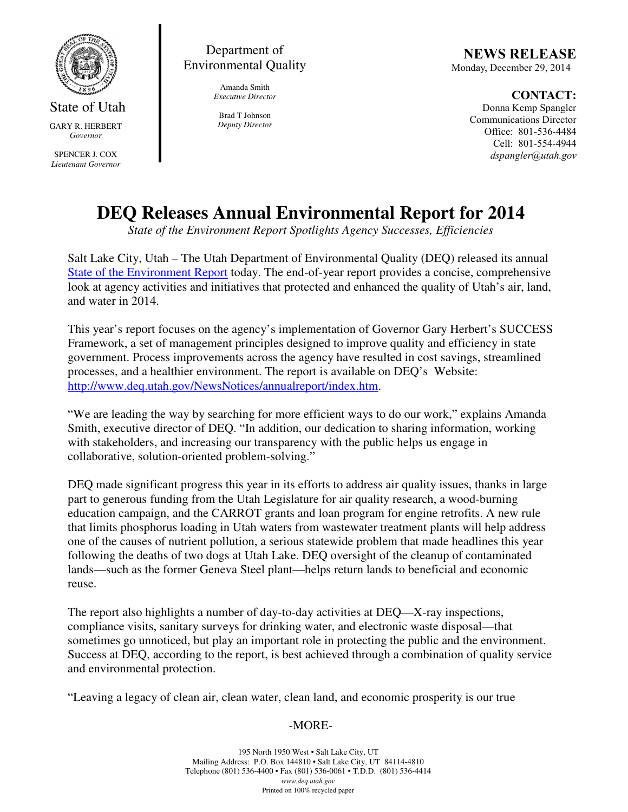

State of Utah GARY R. HERBERT *Governor* 

SPENCER J. COX *Lieutenant Governor* 

Department of Environmental Quality

> Amanda Smith *Executive Director*

Brad T Johnson *Deputy Director* 

NEWS RELEASE Monday, December 29, 2014

CONTACT: Donna Kemp Spangler Communications Director Office: 801-536-4484 Cell: 801-554-4944 dspangler@utah.gov

## **DEQ Releases Annual Environmental Report for 2014**

*State of the Environment Report Spotlights Agency Successes, Efficiencies*

Salt Lake City, Utah – The Utah Department of Environmental Quality (DEQ) released its annual State of the Environment Report today. The end-of-year report provides a concise, comprehensive look at agency activities and initiatives that protected and enhanced the quality of Utah's air, land, and water in 2014.

This year's report focuses on the agency's implementation of Governor Gary Herbert's SUCCESS Framework, a set of management principles designed to improve quality and efficiency in state government. Process improvements across the agency have resulted in cost savings, streamlined processes, and a healthier environment. The report is available on DEQ's Website: http://www.deq.utah.gov/NewsNotices/annualreport/index.htm.

"We are leading the way by searching for more efficient ways to do our work," explains Amanda Smith, executive director of DEQ. "In addition, our dedication to sharing information, working with stakeholders, and increasing our transparency with the public helps us engage in collaborative, solution-oriented problem-solving."

DEQ made significant progress this year in its efforts to address air quality issues, thanks in large part to generous funding from the Utah Legislature for air quality research, a wood-burning education campaign, and the CARROT grants and loan program for engine retrofits. A new rule that limits phosphorus loading in Utah waters from wastewater treatment plants will help address one of the causes of nutrient pollution, a serious statewide problem that made headlines this year following the deaths of two dogs at Utah Lake. DEQ oversight of the cleanup of contaminated lands—such as the former Geneva Steel plant—helps return lands to beneficial and economic reuse.

The report also highlights a number of day-to-day activities at DEQ—X-ray inspections, compliance visits, sanitary surveys for drinking water, and electronic waste disposal—that sometimes go unnoticed, but play an important role in protecting the public and the environment. Success at DEQ, according to the report, is best achieved through a combination of quality service and environmental protection.

"Leaving a legacy of clean air, clean water, clean land, and economic prosperity is our true

## -MORE-

195 North 1950 West • Salt Lake City, UT Mailing Address: P.O. Box 144810 • Salt Lake City, UT 84114-4810 Telephone (801) 536-4400 • Fax (801) 536-0061 • T.D.D. (801) 536-4414 *www.deq.utah.gov*  Printed on 100% recycled paper